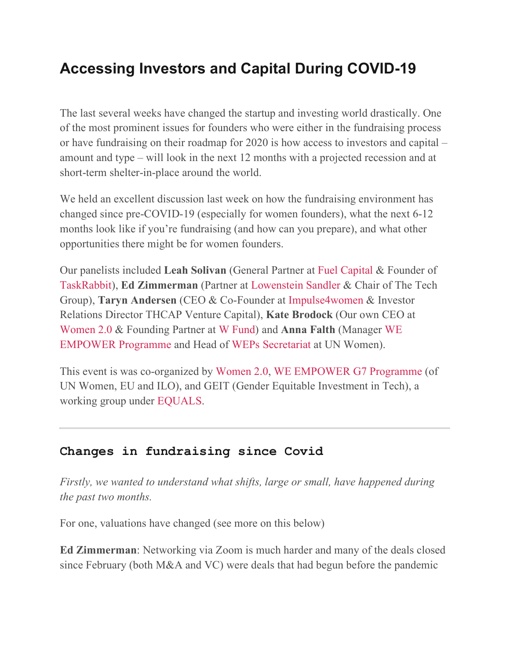# **Accessing Investors and Capital During COVID-19**

The last several weeks have changed the startup and investing world drastically. One of the most prominent issues for founders who were either in the fundraising process or have fundraising on their roadmap for 2020 is how access to investors and capital – amount and type – will look in the next 12 months with a projected recession and at short-term shelter-in-place around the world.

We held an excellent discussion last week on how the fundraising environment has changed since pre-COVID-19 (especially for women founders), what the next 6-12 months look like if you're fundraising (and how can you prepare), and what other opportunities there might be for women founders.

Our panelists included **Leah Solivan** (General Partner at Fuel Capital & Founder of TaskRabbit), **Ed Zimmerman** (Partner at Lowenstein Sandler & Chair of The Tech Group), **Taryn Andersen** (CEO & Co-Founder at Impulse4women & Investor Relations Director THCAP Venture Capital), **Kate Brodock** (Our own CEO at Women 2.0 & Founding Partner at W Fund) and **Anna Falth** (Manager WE EMPOWER Programme and Head of WEPs Secretariat at UN Women).

This event is was co-organized by Women 2.0, WE EMPOWER G7 Programme (of UN Women, EU and ILO), and GEIT (Gender Equitable Investment in Tech), a working group under EQUALS.

### **Changes in fundraising since Covid**

*Firstly, we wanted to understand what shifts, large or small, have happened during the past two months.*

For one, valuations have changed (see more on this below)

**Ed Zimmerman**: Networking via Zoom is much harder and many of the deals closed since February (both M&A and VC) were deals that had begun before the pandemic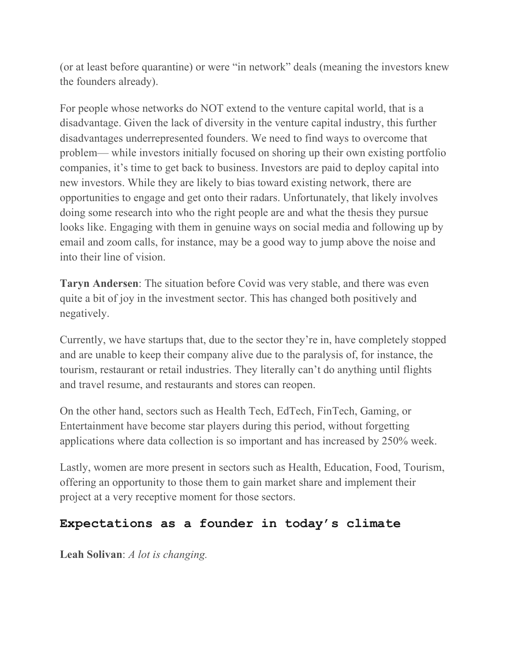(or at least before quarantine) or were "in network" deals (meaning the investors knew the founders already).

For people whose networks do NOT extend to the venture capital world, that is a disadvantage. Given the lack of diversity in the venture capital industry, this further disadvantages underrepresented founders. We need to find ways to overcome that problem— while investors initially focused on shoring up their own existing portfolio companies, it's time to get back to business. Investors are paid to deploy capital into new investors. While they are likely to bias toward existing network, there are opportunities to engage and get onto their radars. Unfortunately, that likely involves doing some research into who the right people are and what the thesis they pursue looks like. Engaging with them in genuine ways on social media and following up by email and zoom calls, for instance, may be a good way to jump above the noise and into their line of vision.

**Taryn Andersen**: The situation before Covid was very stable, and there was even quite a bit of joy in the investment sector. This has changed both positively and negatively.

Currently, we have startups that, due to the sector they're in, have completely stopped and are unable to keep their company alive due to the paralysis of, for instance, the tourism, restaurant or retail industries. They literally can't do anything until flights and travel resume, and restaurants and stores can reopen.

On the other hand, sectors such as Health Tech, EdTech, FinTech, Gaming, or Entertainment have become star players during this period, without forgetting applications where data collection is so important and has increased by 250% week.

Lastly, women are more present in sectors such as Health, Education, Food, Tourism, offering an opportunity to those them to gain market share and implement their project at a very receptive moment for those sectors.

### **Expectations as a founder in today's climate**

**Leah Solivan**: *A lot is changing.*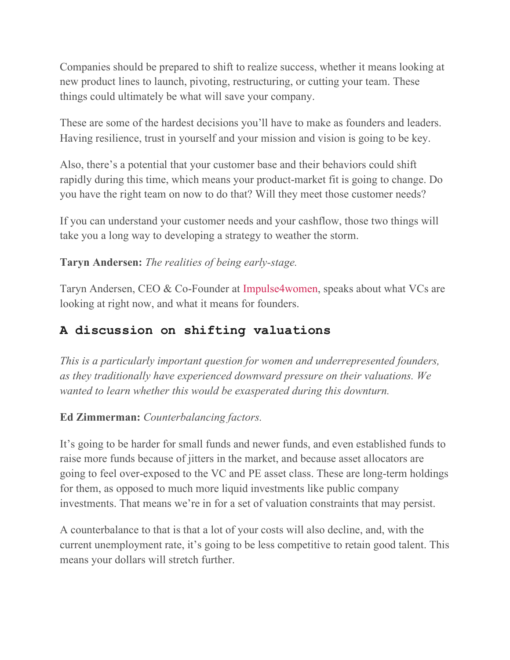Companies should be prepared to shift to realize success, whether it means looking at new product lines to launch, pivoting, restructuring, or cutting your team. These things could ultimately be what will save your company.

These are some of the hardest decisions you'll have to make as founders and leaders. Having resilience, trust in yourself and your mission and vision is going to be key.

Also, there's a potential that your customer base and their behaviors could shift rapidly during this time, which means your product-market fit is going to change. Do you have the right team on now to do that? Will they meet those customer needs?

If you can understand your customer needs and your cashflow, those two things will take you a long way to developing a strategy to weather the storm.

### **Taryn Andersen:** *The realities of being early-stage.*

Taryn Andersen, CEO & Co-Founder at Impulse4women, speaks about what VCs are looking at right now, and what it means for founders.

### **A discussion on shifting valuations**

*This is a particularly important question for women and underrepresented founders, as they traditionally have experienced downward pressure on their valuations. We wanted to learn whether this would be exasperated during this downturn.*

### **Ed Zimmerman:** *Counterbalancing factors.*

It's going to be harder for small funds and newer funds, and even established funds to raise more funds because of jitters in the market, and because asset allocators are going to feel over-exposed to the VC and PE asset class. These are long-term holdings for them, as opposed to much more liquid investments like public company investments. That means we're in for a set of valuation constraints that may persist.

A counterbalance to that is that a lot of your costs will also decline, and, with the current unemployment rate, it's going to be less competitive to retain good talent. This means your dollars will stretch further.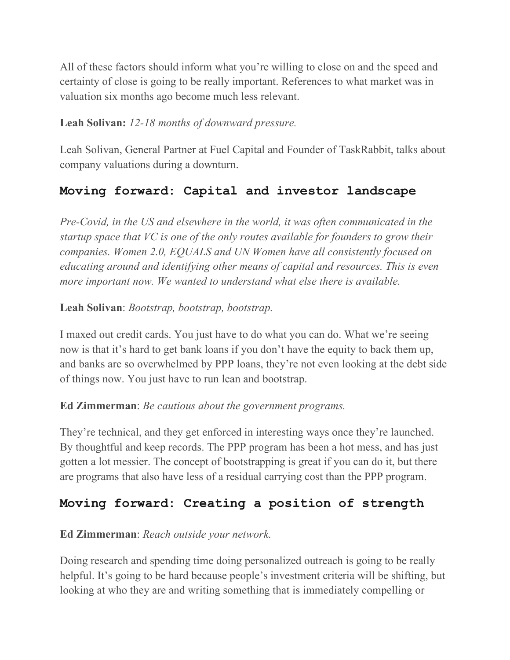All of these factors should inform what you're willing to close on and the speed and certainty of close is going to be really important. References to what market was in valuation six months ago become much less relevant.

### **Leah Solivan:** *12-18 months of downward pressure.*

Leah Solivan, General Partner at Fuel Capital and Founder of TaskRabbit, talks about company valuations during a downturn.

### **Moving forward: Capital and investor landscape**

*Pre-Covid, in the US and elsewhere in the world, it was often communicated in the startup space that VC is one of the only routes available for founders to grow their companies. Women 2.0, EQUALS and UN Women have all consistently focused on educating around and identifying other means of capital and resources. This is even more important now. We wanted to understand what else there is available.*

### **Leah Solivan**: *Bootstrap, bootstrap, bootstrap.*

I maxed out credit cards. You just have to do what you can do. What we're seeing now is that it's hard to get bank loans if you don't have the equity to back them up, and banks are so overwhelmed by PPP loans, they're not even looking at the debt side of things now. You just have to run lean and bootstrap.

### **Ed Zimmerman**: *Be cautious about the government programs.*

They're technical, and they get enforced in interesting ways once they're launched. By thoughtful and keep records. The PPP program has been a hot mess, and has just gotten a lot messier. The concept of bootstrapping is great if you can do it, but there are programs that also have less of a residual carrying cost than the PPP program.

### **Moving forward: Creating a position of strength**

### **Ed Zimmerman**: *Reach outside your network.*

Doing research and spending time doing personalized outreach is going to be really helpful. It's going to be hard because people's investment criteria will be shifting, but looking at who they are and writing something that is immediately compelling or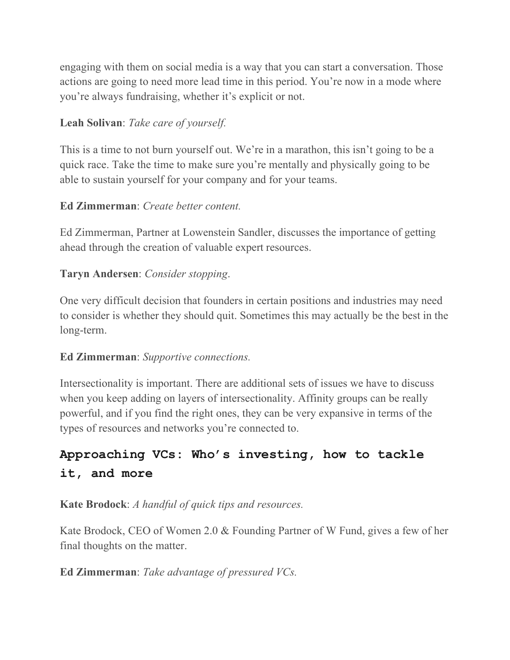engaging with them on social media is a way that you can start a conversation. Those actions are going to need more lead time in this period. You're now in a mode where you're always fundraising, whether it's explicit or not.

### **Leah Solivan**: *Take care of yourself.*

This is a time to not burn yourself out. We're in a marathon, this isn't going to be a quick race. Take the time to make sure you're mentally and physically going to be able to sustain yourself for your company and for your teams.

### **Ed Zimmerman**: *Create better content.*

Ed Zimmerman, Partner at Lowenstein Sandler, discusses the importance of getting ahead through the creation of valuable expert resources.

### **Taryn Andersen**: *Consider stopping*.

One very difficult decision that founders in certain positions and industries may need to consider is whether they should quit. Sometimes this may actually be the best in the long-term.

### **Ed Zimmerman**: *Supportive connections.*

Intersectionality is important. There are additional sets of issues we have to discuss when you keep adding on layers of intersectionality. Affinity groups can be really powerful, and if you find the right ones, they can be very expansive in terms of the types of resources and networks you're connected to.

## **Approaching VCs: Who's investing, how to tackle it, and more**

**Kate Brodock**: *A handful of quick tips and resources.*

Kate Brodock, CEO of Women 2.0 & Founding Partner of W Fund, gives a few of her final thoughts on the matter.

### **Ed Zimmerman**: *Take advantage of pressured VCs.*